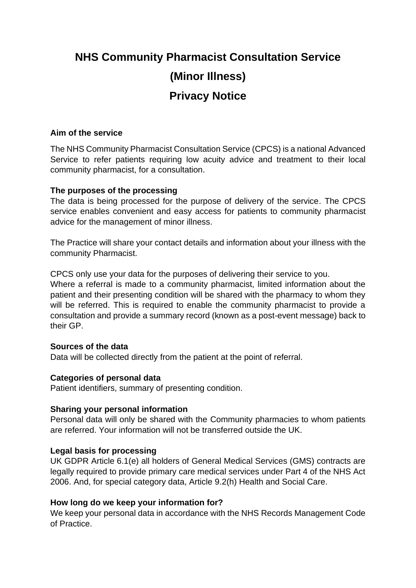# **NHS Community Pharmacist Consultation Service (Minor Illness) Privacy Notice**

## **Aim of the service**

The NHS Community Pharmacist Consultation Service (CPCS) is a national Advanced Service to refer patients requiring low acuity advice and treatment to their local community pharmacist, for a consultation.

#### **The purposes of the processing**

The data is being processed for the purpose of delivery of the service. The CPCS service enables convenient and easy access for patients to community pharmacist advice for the management of minor illness.

The Practice will share your contact details and information about your illness with the community Pharmacist.

CPCS only use your data for the purposes of delivering their service to you.

Where a referral is made to a community pharmacist, limited information about the patient and their presenting condition will be shared with the pharmacy to whom they will be referred. This is required to enable the community pharmacist to provide a consultation and provide a summary record (known as a post-event message) back to their GP.

#### **Sources of the data**

Data will be collected directly from the patient at the point of referral.

## **Categories of personal data**

Patient identifiers, summary of presenting condition.

#### **Sharing your personal information**

Personal data will only be shared with the Community pharmacies to whom patients are referred. Your information will not be transferred outside the UK.

#### **Legal basis for processing**

UK GDPR Article 6.1(e) all holders of General Medical Services (GMS) contracts are legally required to provide primary care medical services under Part 4 of the NHS Act 2006. And, for special category data, Article 9.2(h) Health and Social Care.

#### **How long do we keep your information for?**

We keep your personal data in accordance with the NHS Records Management Code of Practice.